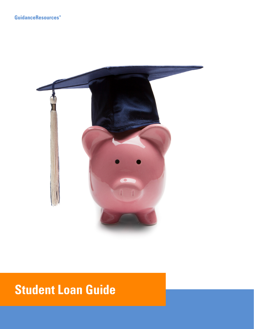

# **Student Loan Guide**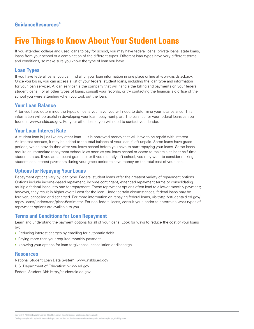### **Five Things to Know About Your Student Loans**

If you attended college and used loans to pay for school, you may have federal loans, private loans, state loans, loans from your school or a combination of the different types. Different loan types have very different terms and conditions, so make sure you know the type of loan you have.

### **Loan Types**

If you have federal loans, you can find all of your loan information in one place online at www.nslds.ed.gov. Once you log in, you can access a list of your federal student loans, including the loan type and information for your loan servicer. A loan servicer is the company that will handle the billing and payments on your federal student loans. For all other types of loans, consult your records, or try contacting the financial aid office of the school you were attending when you took out the loan.

### **Your Loan Balance**

After you have determined the types of loans you have, you will need to determine your total balance. This information will be useful in developing your loan repayment plan. The balance for your federal loans can be found at www.nslds.ed.gov. For your other loans, you will need to contact your lender.

### **Your Loan Interest Rate**

A student loan is just like any other loan — it is borrowed money that will have to be repaid with interest. As interest accrues, it may be added to the total balance of your loan if left unpaid. Some loans have grace periods, which provide time after you leave school before you have to start repaying your loans. Some loans require an immediate repayment schedule as soon as you leave school or cease to maintain at least half-time student status. If you are a recent graduate, or if you recently left school, you may want to consider making student loan interest payments during your grace period to save money on the total cost of your loan.

### **Options for Repaying Your Loans**

Repayment options vary by loan type. Federal student loans offer the greatest variety of repayment options. Options include income-based repayment, income contingent, extended repayment terms or consolidating multiple federal loans into one for repayment. These repayment options often lead to a lower monthly payment; however, they result in higher overall cost for the loan. Under certain circumstances, federal loans may be forgiven, cancelled or discharged. For more information on repaying federal loans, visithttp://studentaid.ed.gov/ repay-loans/understand/plans#estimator. For non-federal loans, consult your lender to determine what types of repayment options are available to you.

### **Terms and Conditions for Loan Repayment**

Learn and understand the payment options for all of your loans. Look for ways to reduce the cost of your loans by:

- Reducing interest charges by enrolling for automatic debit
- Paying more than your required monthly payment
- Knowing your options for loan forgiveness, cancellation or discharge.

#### **Resources**

National Student Loan Data System: www.nslds.ed.gov

U.S. Department of Education: www.ed.gov

Federal Student Aid: http://studentaid.ed.gov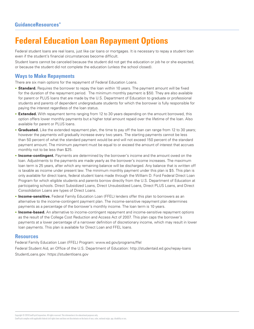## **Federal Education Loan Repayment Options**

Federal student loans are real loans, just like car loans or mortgages. It is necessary to repay a student loan even if the student's financial circumstances become difficult.

Student loans cannot be canceled because the student did not get the education or job he or she expected, or because the student did not complete the education (unless the school closed).

### **Ways to Make Repayments**

There are six main options for the repayment of Federal Education Loans.

- **Standard.** Requires the borrower to repay the loan within 10 years. The payment amount will be fixed for the duration of the repayment period. The minimum monthly payment is \$50. They are also available for parent or PLUS loans that are made by the U.S. Department of Education to graduate or professional students and parents of dependent undergraduate students for which the borrower is fully responsible for paying the interest regardless of the loan status.
- **Extended.** With repayment terms ranging from 12 to 30 years depending on the amount borrowed, this option offers lower monthly payments but a higher total amount repaid over the lifetime of the loan. Also available for parent or PLUS loans.
- **Graduated.** Like the extended repayment plan, the time to pay off the loan can range from 12 to 30 years; however the payments will gradually increase every two years. The starting payments cannot be less than 50 percent of what the standard payment would be and will not exceed 150 percent of the standard payment amount. The minimum payment must be equal to or exceed the amount of interest that accrues monthly not to be less than \$25.
- **Income-contingent.** Payments are determined by the borrower's income and the amount owed on the loan. Adjustments to the payments are made yearly as the borrower's income increases. The maximum loan term is 25 years, after which any remaining balance will be discharged. Any balance that is written off is taxable as income under present law. The minimum monthly payment under this plan is \$5. This plan is only available for direct loans, federal student loans made through the William D. Ford Federal Direct Loan Program for which eligible students and parents borrow directly from the U.S. Department of Education at participating schools. Direct Subsidized Loans, Direct Unsubsidized Loans, Direct PLUS Loans, and Direct Consolidation Loans are types of Direct Loans.
- **Income-sensitive.** Federal Family Education Loan (FFEL) lenders offer this plan to borrowers as an alternative to the income-contingent payment plan. The income-sensitive repayment plan determines payments as a percentage of the borrower's monthly income. The loan term is 10 years.
- **Income-based.** An alternative to income-contingent repayment and income-sensitive repayment options as the result of the College Cost Reduction and Access Act of 2007. This plan caps the borrower's payments at a lower percentage of a narrower definition of discretionary income, which may result in lower loan payments. This plan is available for Direct Loan and FFEL loans.

#### **Resources**

Federal Family Education Loan (FFEL) Program: www.ed.gov/programs/ffel Federal Student Aid, an Office of the U.S. Department of Education: http://studentaid.ed.gov/repay-loans StudentLoans.gov: https://studentloans.gov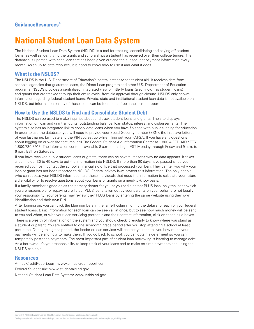### **National Student Loan Data System**

The National Student Loan Data System (NSLDS) is a tool for tracking, consolidating and paying off student loans, as well as identifying the grants and scholarships a student has received over their college tenure. The database is updated with each loan that has been given out and the subsequent payment information every month. As an up-to-date resource, it is good to know how to use it and what it does.

### **What is the NSLDS?**

The NSLDS is the U.S. Department of Education's central database for student aid. It receives data from schools, agencies that guarantee loans, the Direct Loan program and other U.S. Department of Education programs. NSLDS provides a centralized, integrated view of Title IV loans (also known as student loans) and grants that are tracked through their entire cycle, from aid approval through closure. NSLDS only shows information regarding federal student loans. Private, state and institutional student loan data is not available on NSLDS, but information on any of these loans can be found on a free annual credit report.

### **How to Use the NSLDS to Find and Consolidate Student Debt**

The NSLDS can be used to make inquiries about and track student loans and grants. The site displays information on loan and grant amounts, outstanding balance, loan status, interest and disbursements. The system also has an integrated link to consolidate loans when you have finished with public funding for education. In order to use the database, you will need to provide your Social Security number (SSN), the first two letters of your last name, birthdate and the PIN you set up while filling out your FAFSA. If you have any questions about logging on or website features, call The Federal Student Aid Information Center at 1.800.4.FED.AID / TTY 1.800.730.8913. The information center is available 8 a.m. to midnight EST Monday through Friday and 9 a.m. to 6 p.m. EST on Saturday.

If you have received public student loans or grants, there can be several reasons wny no data appears. It takes a loan holder 30 to 45 days to get the information into NSLDS. If more than 60 days have passed since you received your loan, contact the school's financial aid office that processed your loan. They can tell you why your loan or grant has not been reported to NSLDS. Federal privacy laws protect this information. The only people who can access your NSLDS information are those individuals that need the information to calculate your future aid eligibility, or to resolve questions about your loans or grants on a need-to-know basis.

If a family member signed on as the primary debtor for you or you had a parent PLUS loan, only the loans which you are responsible for repaying are listed. PLUS loans taken out by your parents on your behalf are not legally your responsibility. Your parents may review their PLUS loans by entering the same website using their own identification and their own PIN.

After logging on, you can click the blue numbers in the far left column to find the details for each of your federal student loans. Basic information for each loan can be seen all at once, but to see how much money will be sent to you and when, or who your loan servicing partner is and their contact information, click on these blue boxes.

There is a wealth of information on the system and you should check it regularly to know where you stand as a student or parent. You are entitled to one six-month grace period after you stop attending a school at least part- time. During this grace period, the lender or loan servicer will contact you and tell you how much your payments will be and how to make them. If you go back to school, you can obtain a deferment so you can temporarily postpone payments. The most important part of student loan borrowing is learning to manage debt. As a borrower, it's your responsibility to keep track of your loans and to make on-time payments and using the NSLDS can help.

#### **Resources**

AnnualCreditReport.com: www.annualcreditreport.com Federal Student Aid: www.studentaid.ed.gov National Student Loan Data System: www.nslds.ed.gov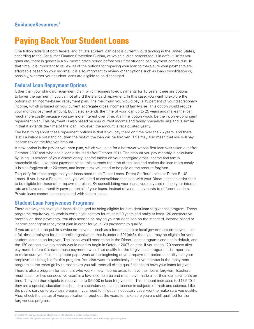### **Paying Back Your Student Loans**

One trillion dollars of both federal and private student loan debt is currently outstanding in the United States, according to the Consumer Finance Protection Bureau, of which a large percentage is in default. After you graduate, there is generally a six-month grace period before your first student loan payment comes due. In that time, it is important to review all of the options for repaying your loan to make sure your payments are affordable based on your income. It is also important to review other options such as loan consolidation or, possibly, whether your student loans are eligible to be discharged.

### **Federal Loan Repayment Options**

Other than your standard repayment plan, which requires fixed payments for 10 years, there are options to lower the payment if you cannot afford the standard repayment. In this case, you want to explore the options of an income-based repayment plan. The maximum you would pay is 15 percent of your discretionary income, which is based on your current aggregate gross income and family size. This option would reduce your monthly payment amount, but it also extends the time of your loan up to 25 years and makes the loan much more costly because you pay more interest over time. A similar option would be the income-contingent repayment plan. This payment is also based on your current income and family household size and is similar in that it extends the time of the loan. However, the amount is recalculated yearly.

The best thing about these repayment options is that if you pay them on time over the 25 years, and there is still a balance outstanding, then the rest of the loan will be forgiven. This may also mean that you will pay income tax on the forgiven amount.

A new option is the pay-as-you-earn plan, which would be for a borrower whose first loan was taken out after October 2007 and who had a loan disbursed after October 2011. The amount you pay monthly is calculated by using 10 percent of your discretionary income based on your aggregate gross income and family household size. Like most payment plans, this extends the time of the loan and makes the loan more costly. It is also forgiven after 20 years, and income tax will need to be paid on the amount forgiven.

To qualify for these programs, your loans need to be Direct Loans, Direct Stafford Loans or Direct PLUS Loans. If you have a Perkins Loan, you will need to consolidate that loan with your Direct Loans in order for it to be eligible for these other repayment plans. By consolidating your loans, you may also reduce your interest rate and have one monthly payment on all of your loans, instead of various payments to different lenders. Private loans cannot be consolidated with federal loans.

### **Student Loan Forgiveness Programs**

There are ways to have your loans discharged by being eligible for a student loan forgiveness program. These programs require you to work in certain job sectors for at least 10 years and make at least 120 consecutive monthly on-time payments. You also need to be paying your student loan on the standard, income-based or income-contingent repayment plan in order for your 120 payments to qualify.

If you are a full-time public service employee — such as a federal, state or local government employee — or a full-time employee for a nonprofit organization that is under a 501(c)(3), then you may be eligible for your student loans to be forgiven. The loans would need to be in the Direct Loans programs and not in default, and the 120 consecutive payments would need to begin in October 2007 or later. If you made 120 consecutive payments before this date, those payments would not qualify for the forgiveness program. It is important to make sure you fill out all proper paperwork at the beginning of your repayment period to certify that your employment is eligible for this program. You also want to periodically check your status in the repayment program as the years go by to make sure you still meet all of the qualifications to have your loans forgiven.

There is also a program for teachers who work in low-income areas to have their loans forgiven. Teachers must teach for five consecutive years in a low-income area and must have made all of their loan payments on time. They are then eligible to receive up to \$5,000 in loan forgiveness. This amount increases to \$17,500 if they are a special education teacher, or a secondary education teacher in subjects of math and science. Like the public service forgiveness program, you need to fill out all necessary paperwork to make sure you qualify. Also, check the status of your application throughout the years to make sure you are still qualified for the forgiveness program.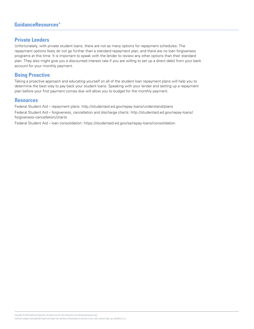### **GuidanceResources**<sup>®</sup>

#### **Private Lenders**

Unfortunately, with private student loans, there are not as many options for repayment schedules. The repayment options likely do not go further than a standard repayment plan, and there are no loan forgiveness programs at this time. It is important to speak with the lender to review any other options than their standard plan. They also might give you a discounted interest rate if you are willing to set up a direct debit from your bank account for your monthly payment.

### **Being Proactive**

Taking a proactive approach and educating yourself on all of the student loan repayment plans will help you to determine the best way to pay back your student loans. Speaking with your lender and setting up a repayment plan before your first payment comes due will allow you to budget for the monthly payment.

#### **Resources**

Federal Student Aid – repayment plans: http://studentaid.ed.gov/repay-loans/understand/plans Federal Student Aid – forgiveness, cancellation and discharge charts: http://studentaid.ed.gov/repay-loans/ forgiveness-cancellation/charts

Federal Student Aid – loan consolidation: https://studentaid.ed.gov/sa/repay-loans/consolidation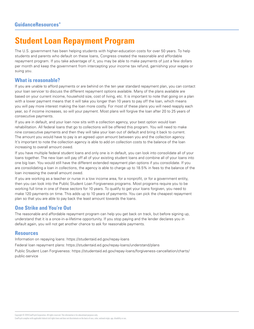### **Student Loan Repayment Program**

The U.S. government has been helping students with higher-education costs for over 50 years. To help students and parents who default on these loans, Congress created the reasonable and affordable repayment program. If you take advantage of it, you may be able to make payments of just a few dollars per month and keep the government from intercepting your income tax refund, garnishing your wages or suing you.

#### **What is reasonable?**

If you are unable to afford payments or are behind on the ten year standard repayment plan, you can contact your loan servicer to discuss the different repayment options available. Many of the plans available are based on your current income, household size, cost of living, etc. It is important to note that going on a plan with a lower payment means that it will take you longer than 10 years to pay off the loan, which means you will pay more interest making the loan more costly. For most of these plans you will need reapply each year, so if income increases, so will your payment. Most plans will forgive the loan after 20 to 25 years of consecutive payments.

If you are in default, and your loan now sits with a collection agency, your best option would loan rehabilitation. All federal loans that go to collections will be offered this program. You will need to make nine consecutive payments and then they will take your loan out of default and bring it back to current. The amount you would have to pay is an agreed upon amount between you and the collection agency. It's important to note the collection agency is able to add on collection costs to the balance of the loan increasing to overall amount owed.

If you have multiple federal student loans and only one is in default, you can look into consolidate all of your loans together. The new loan will pay off all of your existing student loans and combine all of your loans into one big loan. You would still have the different extended repayment plan options if you consolidate. If you are consolidating a loan in collections, the agency is able to charge up to 18.5% in fees to the balance of the loan increasing the overall amount owed.

If you are working as a teacher or nurse in a low income area, for a nonprofit, or for a government entity, then you can look into the Public Student Loan Forgiveness programs. Most programs require you to be working full time in one of these sectors for 10 years. To qualify to get your loans forgiven, you need to make 120 payments on time. This adds up to 10 years of payments. You can pick the cheapest repayment plan so that you are able to pay back the least amount towards the loans.

### **One Strike and You're Out**

The reasonable and affordable repayment program can help you get back on track, but before signing up, understand that it is a once-in-a-lifetime opportunity. If you stop paying and the lender declares you in default again, you will not get another chance to ask for reasonable payments.

### **Resources**

Information on repaying loans: https://studentaid.ed.gov/repay-loans

Federal loan repayment plans: https://studentaid.ed.gov/repay-loans/understand/plans

Public Student Loan Forgiveness: https://studentaid.ed.gov/repay-loans/forgiveness-cancellation/charts/ public-service